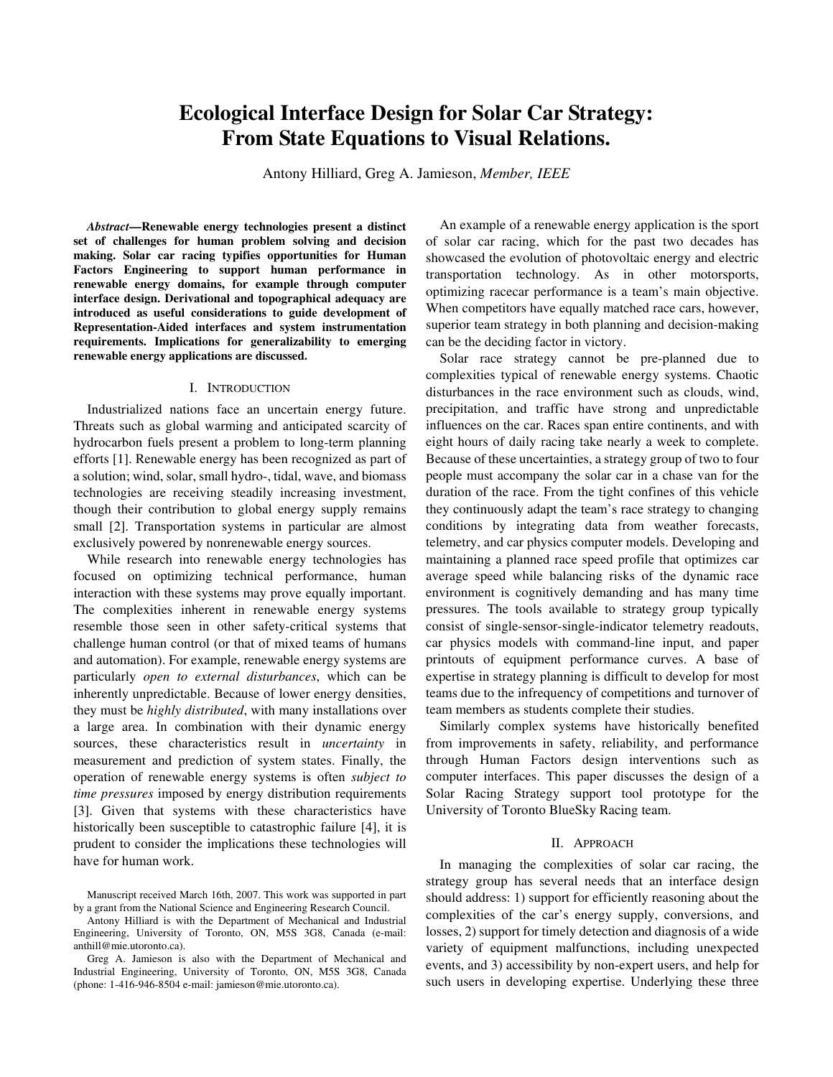# **Ecological Interface Design for Solar Car Strategy: From State Equations to Visual Relations.**

Antony Hilliard, Greg A. Jamieson, *Member, IEEE*

*Abstract***—Renewable energy technologies present a distinct set of challenges for human problem solving and decision making. Solar car racing typifies opportunities for Human Factors Engineering to support human performance in renewable energy domains, for example through computer interface design. Derivational and topographical adequacy are introduced as useful considerations to guide development of Representation-Aided interfaces and system instrumentation requirements. Implications for generalizability to emerging renewable energy applications are discussed.**

# I. INTRODUCTION

Industrialized nations face an uncertain energy future. Threats such as global warming and anticipated scarcity of hydrocarbon fuels present a problem to long-term planning efforts [1]. Renewable energy has been recognized as part of a solution; wind, solar, small hydro-, tidal, wave, and biomass technologies are receiving steadily increasing investment, though their contribution to global energy supply remains small [2]. Transportation systems in particular are almost exclusively powered by nonrenewable energy sources.

While research into renewable energy technologies has focused on optimizing technical performance, human interaction with these systems may prove equally important. The complexities inherent in renewable energy systems resemble those seen in other safety-critical systems that challenge human control (or that of mixed teams of humans and automation). For example, renewable energy systems are particularly *open to external disturbances*, which can be inherently unpredictable. Because of lower energy densities, they must be *highly distributed*, with many installations over a large area. In combination with their dynamic energy sources, these characteristics result in *uncertainty* in measurement and prediction of system states. Finally, the operation of renewable energy systems is often *subject to time pressures* imposed by energy distribution requirements [3]. Given that systems with these characteristics have historically been susceptible to catastrophic failure [4], it is prudent to consider the implications these technologies will have for human work.

An example of a renewable energy application is the sport of solar car racing, which for the past two decades has showcased the evolution of photovoltaic energy and electric transportation technology. As in other motorsports, optimizing racecar performance is a team's main objective. When competitors have equally matched race cars, however, superior team strategy in both planning and decision-making can be the deciding factor in victory.

Solar race strategy cannot be pre-planned due to complexities typical of renewable energy systems. Chaotic disturbances in the race environment such as clouds, wind, precipitation, and traffic have strong and unpredictable influences on the car. Races span entire continents, and with eight hours of daily racing take nearly a week to complete. Because of these uncertainties, a strategy group of two to four people must accompany the solar car in a chase van for the duration of the race. From the tight confines of this vehicle they continuously adapt the team's race strategy to changing conditions by integrating data from weather forecasts, telemetry, and car physics computer models. Developing and maintaining a planned race speed profile that optimizes car average speed while balancing risks of the dynamic race environment is cognitively demanding and has many time pressures. The tools available to strategy group typically consist of single-sensor-single-indicator telemetry readouts, car physics models with command-line input, and paper printouts of equipment performance curves. A base of expertise in strategy planning is difficult to develop for most teams due to the infrequency of competitions and turnover of team members as students complete their studies.

Similarly complex systems have historically benefited from improvements in safety, reliability, and performance through Human Factors design interventions such as computer interfaces. This paper discusses the design of a Solar Racing Strategy support tool prototype for the University of Toronto BlueSky Racing team.

#### II. APPROACH

In managing the complexities of solar car racing, the strategy group has several needs that an interface design should address: 1) support for efficiently reasoning about the complexities of the car's energy supply, conversions, and losses, 2) support for timely detection and diagnosis of a wide variety of equipment malfunctions, including unexpected events, and 3) accessibility by non-expert users, and help for such users in developing expertise. Underlying these three

Manuscript received March 16th, 2007. This work was supported in part by a grant from the National Science and Engineering Research Council.

Antony Hilliard is with the Department of Mechanical and Industrial Engineering, University of Toronto, ON, M5S 3G8, Canada (e-mail: anthill@mie.utoronto.ca).

Greg A. Jamieson is also with the Department of Mechanical and Industrial Engineering, University of Toronto, ON, M5S 3G8, Canada (phone: 1-416-946-8504 e-mail: jamieson@mie.utoronto.ca).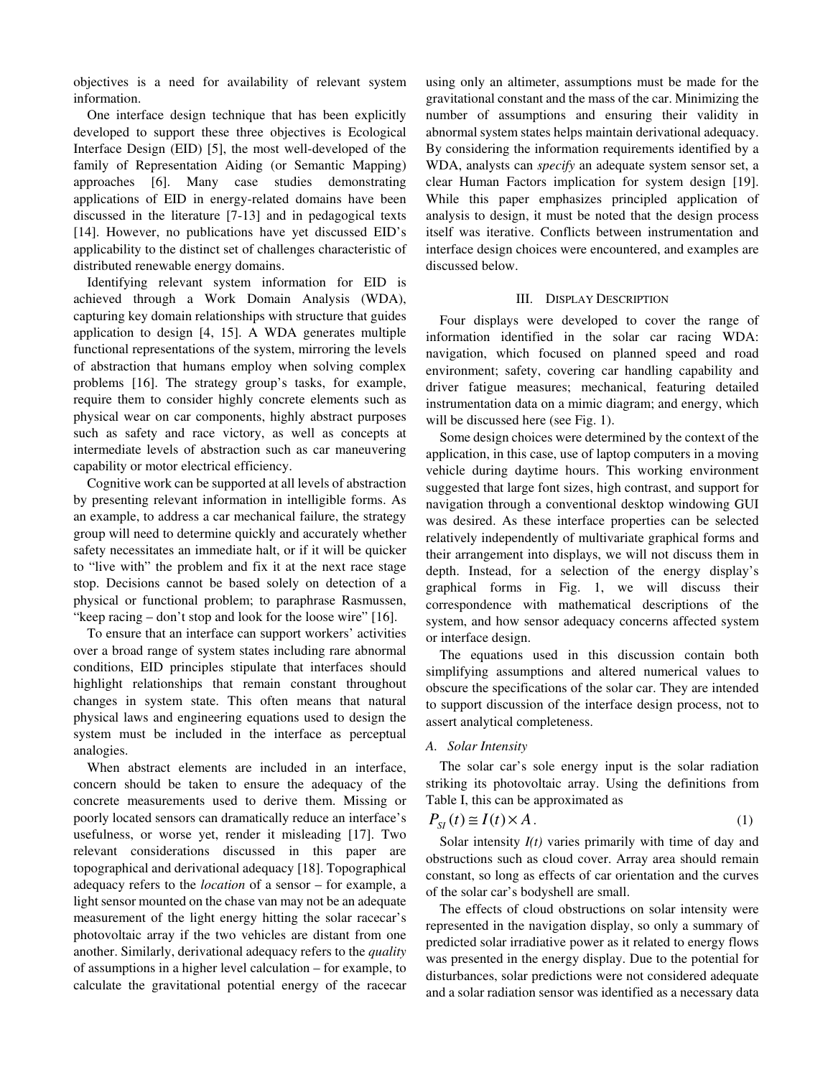objectives is a need for availability of relevant system information.

One interface design technique that has been explicitly developed to support these three objectives is Ecological Interface Design (EID) [5], the most well-developed of the family of Representation Aiding (or Semantic Mapping) approaches [6]. Many case studies demonstrating applications of EID in energy-related domains have been discussed in the literature [7-13] and in pedagogical texts [14]. However, no publications have yet discussed EID's applicability to the distinct set of challenges characteristic of distributed renewable energy domains.

Identifying relevant system information for EID is achieved through a Work Domain Analysis (WDA), capturing key domain relationships with structure that guides application to design [4, 15]. A WDA generates multiple functional representations of the system, mirroring the levels of abstraction that humans employ when solving complex problems [16]. The strategy group's tasks, for example, require them to consider highly concrete elements such as physical wear on car components, highly abstract purposes such as safety and race victory, as well as concepts at intermediate levels of abstraction such as car maneuvering capability or motor electrical efficiency.

Cognitive work can be supported at all levels of abstraction by presenting relevant information in intelligible forms. As an example, to address a car mechanical failure, the strategy group will need to determine quickly and accurately whether safety necessitates an immediate halt, or if it will be quicker to "live with" the problem and fix it at the next race stage stop. Decisions cannot be based solely on detection of a physical or functional problem; to paraphrase Rasmussen, "keep racing – don't stop and look for the loose wire" [16].

To ensure that an interface can support workers' activities over a broad range of system states including rare abnormal conditions, EID principles stipulate that interfaces should highlight relationships that remain constant throughout changes in system state. This often means that natural physical laws and engineering equations used to design the system must be included in the interface as perceptual analogies.

When abstract elements are included in an interface, concern should be taken to ensure the adequacy of the concrete measurements used to derive them. Missing or poorly located sensors can dramatically reduce an interface's usefulness, or worse yet, render it misleading [17]. Two relevant considerations discussed in this paper are topographical and derivational adequacy [18]. Topographical adequacy refers to the *location* of a sensor – for example, a light sensor mounted on the chase van may not be an adequate measurement of the light energy hitting the solar racecar's photovoltaic array if the two vehicles are distant from one another. Similarly, derivational adequacy refers to the *quality* of assumptions in a higher level calculation – for example, to calculate the gravitational potential energy of the racecar

using only an altimeter, assumptions must be made for the gravitational constant and the mass of the car. Minimizing the number of assumptions and ensuring their validity in abnormal system states helps maintain derivational adequacy. By considering the information requirements identified by a WDA, analysts can *specify* an adequate system sensor set, a clear Human Factors implication for system design [19]. While this paper emphasizes principled application of analysis to design, it must be noted that the design process itself was iterative. Conflicts between instrumentation and interface design choices were encountered, and examples are discussed below.

#### III. DISPLAY DESCRIPTION

Four displays were developed to cover the range of information identified in the solar car racing WDA: navigation, which focused on planned speed and road environment; safety, covering car handling capability and driver fatigue measures; mechanical, featuring detailed instrumentation data on a mimic diagram; and energy, which will be discussed here (see Fig. 1).

Some design choices were determined by the context of the application, in this case, use of laptop computers in a moving vehicle during daytime hours. This working environment suggested that large font sizes, high contrast, and support for navigation through a conventional desktop windowing GUI was desired. As these interface properties can be selected relatively independently of multivariate graphical forms and their arrangement into displays, we will not discuss them in depth. Instead, for a selection of the energy display's graphical forms in Fig. 1, we will discuss their correspondence with mathematical descriptions of the system, and how sensor adequacy concerns affected system or interface design.

The equations used in this discussion contain both simplifying assumptions and altered numerical values to obscure the specifications of the solar car. They are intended to support discussion of the interface design process, not to assert analytical completeness.

#### *A. Solar Intensity*

The solar car's sole energy input is the solar radiation striking its photovoltaic array. Using the definitions from Table I, this can be approximated as

$$
P_{SI}(t) \cong I(t) \times A. \tag{1}
$$

Solar intensity  $I(t)$  varies primarily with time of day and obstructions such as cloud cover. Array area should remain constant, so long as effects of car orientation and the curves of the solar car's bodyshell are small.

The effects of cloud obstructions on solar intensity were represented in the navigation display, so only a summary of predicted solar irradiative power as it related to energy flows was presented in the energy display. Due to the potential for disturbances, solar predictions were not considered adequate and a solar radiation sensor was identified as a necessary data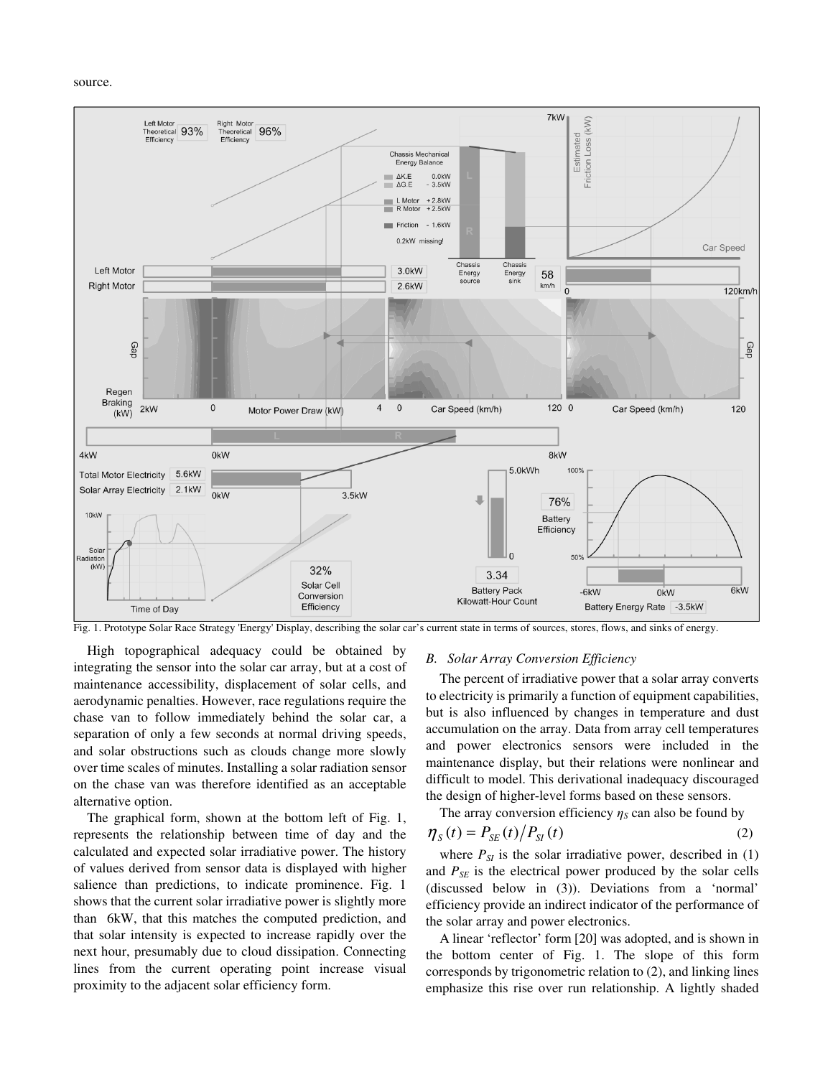#### source.



Fig. 1. Prototype Solar Race Strategy 'Energy'Display, describing the solar car's current state in terms of sources, stores, flows, and sinks of energy.

High topographical adequacy could be obtained by integrating the sensor into the solar car array, but at a cost of maintenance accessibility, displacement of solar cells, and aerodynamic penalties. However, race regulations require the chase van to follow immediately behind the solar car, a separation of only a few seconds at normal driving speeds, and solar obstructions such as clouds change more slowly over time scales of minutes. Installing a solar radiation sensor on the chase van was therefore identified as an acceptable alternative option.

The graphical form, shown at the bottom left of Fig. 1, represents the relationship between time of day and the calculated and expected solar irradiative power. The history of values derived from sensor data is displayed with higher salience than predictions, to indicate prominence. Fig. 1 shows that the current solar irradiative power is slightly more than 6kW, that this matches the computed prediction, and that solar intensity is expected to increase rapidly over the next hour, presumably due to cloud dissipation. Connecting lines from the current operating point increase visual proximity to the adjacent solar efficiency form.

#### *B. Solar Array Conversion Efficiency*

The percent of irradiative power that a solar array converts to electricity is primarily a function of equipment capabilities, but is also influenced by changes in temperature and dust accumulation on the array. Data from array cell temperatures and power electronics sensors were included in the maintenance display, but their relations were nonlinear and difficult to model. This derivational inadequacy discouraged the design of higher-level forms based on these sensors.

The array conversion efficiency  $\eta_s$  can also be found by

$$
\eta_{s}(t) = P_{sE}(t) / P_{sI}(t) \tag{2}
$$

where  $P_{SI}$  is the solar irradiative power, described in  $(1)$ and  $P_{SE}$  is the electrical power produced by the solar cells (discussed below in (3)). Deviations from a 'normal' efficiency provide an indirect indicator of the performance of the solar array and power electronics.

A linear 'reflector' form [20] was adopted, and is shown in the bottom center of Fig. 1. The slope of this form corresponds by trigonometric relation to (2), and linking lines emphasize this rise over run relationship. A lightly shaded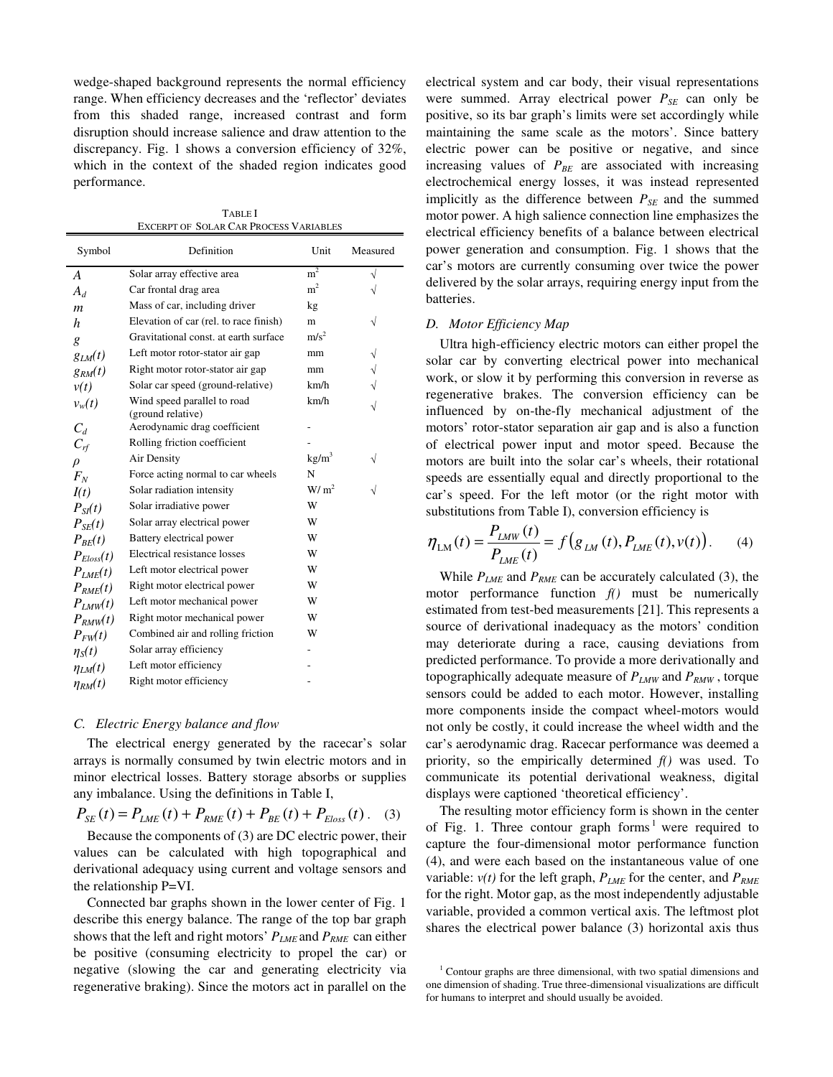wedge-shaped background represents the normal efficiency range. When efficiency decreases and the 'reflector' deviates from this shaded range, increased contrast and form disruption should increase salience and draw attention to the discrepancy. Fig. 1 shows a conversion efficiency of 32%, which in the context of the shaded region indicates good performance.

TABLE I EXCERPT OF SOLAR CAR PROCESS VARIABLES

| Symbol           | Definition                                       | Unit              | Measured  |
|------------------|--------------------------------------------------|-------------------|-----------|
| A                | Solar array effective area                       | $\rm m^2$         | V         |
| $A_d$            | Car frontal drag area                            | m <sup>2</sup>    |           |
| $\boldsymbol{m}$ | Mass of car, including driver                    | kg                |           |
| h                | Elevation of car (rel. to race finish)           | m                 | √         |
| g                | Gravitational const. at earth surface            | m/s <sup>2</sup>  |           |
| $g_{LM}(t)$      | Left motor rotor-stator air gap                  | mm                |           |
| $g_{RM}(t)$      | Right motor rotor-stator air gap                 | mm                | $\sqrt{}$ |
| v(t)             | Solar car speed (ground-relative)                | km/h              |           |
| $v_w(t)$         | Wind speed parallel to road<br>(ground relative) | km/h              | $\sqrt{}$ |
| $C_d$            | Aerodynamic drag coefficient                     |                   |           |
| $C_{rf}$         | Rolling friction coefficient                     |                   |           |
| $\rho$           | Air Density                                      | kg/m <sup>3</sup> |           |
| $F_N$            | Force acting normal to car wheels                | N                 |           |
| I(t)             | Solar radiation intensity                        | W/m <sup>2</sup>  |           |
| $P_{SI}(t)$      | Solar irradiative power                          | W                 |           |
| $P_{SE}(t)$      | Solar array electrical power                     | W                 |           |
| $P_{BE}(t)$      | Battery electrical power                         | W                 |           |
| $P_{Eloss}(t)$   | Electrical resistance losses                     | W                 |           |
| $P_{LME}(t)$     | Left motor electrical power                      | W                 |           |
| $P_{RME}(t)$     | Right motor electrical power                     | W                 |           |
| $P_{IMM}(t)$     | Left motor mechanical power                      | W                 |           |
| $P_{RMM}(t)$     | Right motor mechanical power                     | W                 |           |
| $P_{FW}(t)$      | Combined air and rolling friction                | W                 |           |
| $\eta_S(t)$      | Solar array efficiency                           |                   |           |
| $\eta_{LM}(t)$   | Left motor efficiency                            |                   |           |
| $\eta_{RM}(t)$   | Right motor efficiency                           |                   |           |
|                  |                                                  |                   |           |

#### *C. Electric Energy balance and flow*

The electrical energy generated by the racecar's solar arrays is normally consumed by twin electric motors and in minor electrical losses. Battery storage absorbs or supplies any imbalance. Using the definitions in Table I,

$$
P_{SE}(t) = P_{LME}(t) + P_{RME}(t) + P_{BE}(t) + P_{Eloss}(t).
$$
 (3)

Because the components of (3) are DC electric power, their values can be calculated with high topographical and derivational adequacy using current and voltage sensors and the relationship P=VI.

Connected bar graphs shown in the lower center of Fig. 1 describe this energy balance. The range of the top bar graph shows that the left and right motors'  $P_{LME}$  and  $P_{RME}$  can either be positive (consuming electricity to propel the car) or negative (slowing the car and generating electricity via regenerative braking). Since the motors act in parallel on the electrical system and car body, their visual representations were summed. Array electrical power  $P_{SE}$  can only be positive, so its bar graph's limits were set accordingly while maintaining the same scale as the motors'. Since battery electric power can be positive or negative, and since increasing values of  $P_{BE}$  are associated with increasing electrochemical energy losses, it was instead represented implicitly as the difference between *PSE* and the summed motor power. A high salience connection line emphasizes the electrical efficiency benefits of a balance between electrical power generation and consumption. Fig. 1 shows that the car's motors are currently consuming over twice the power delivered by the solar arrays, requiring energy input from the batteries.

# *D. Motor Efficiency Map*

Ultra high-efficiency electric motors can either propel the solar car by converting electrical power into mechanical work, or slow it by performing this conversion in reverse as regenerative brakes. The conversion efficiency can be influenced by on-the-fly mechanical adjustment of the motors' rotor-stator separation air gap and is also a function of electrical power input and motor speed. Because the motors are built into the solar car's wheels, their rotational speeds are essentially equal and directly proportional to the car's speed. For the left motor (or the right motor with substitutions from Table I), conversion efficiency is

$$
\eta_{LM}(t) = \frac{P_{LMW}(t)}{P_{LME}(t)} = f(g_{LM}(t), P_{LME}(t), v(t)).
$$
 (4)

While *PLME* and *PRME* can be accurately calculated (3), the motor performance function *f()* must be numerically estimated from test-bed measurements [21]. This represents a source of derivational inadequacy as the motors' condition may deteriorate during a race, causing deviations from predicted performance. To provide a more derivationally and topographically adequate measure of  $P_{LMW}$  and  $P_{RMW}$ , torque sensors could be added to each motor. However, installing more components inside the compact wheel-motors would not only be costly, it could increase the wheel width and the car's aerodynamic drag. Racecar performance was deemed a priority, so the empirically determined *f()* was used. To communicate its potential derivational weakness, digital displays were captioned 'theoretical efficiency'.

The resulting motor efficiency form is shown in the center of Fig. 1. Three contour graph forms<sup>1</sup> were required to capture the four-dimensional motor performance function (4), and were each based on the instantaneous value of one variable:  $v(t)$  for the left graph,  $P_{LME}$  for the center, and  $P_{RME}$ for the right. Motor gap, as the most independently adjustable variable, provided a common vertical axis. The leftmost plot shares the electrical power balance (3) horizontal axis thus

 $1$  Contour graphs are three dimensional, with two spatial dimensions and one dimension of shading. True three-dimensional visualizations are difficult for humans to interpret and should usually be avoided.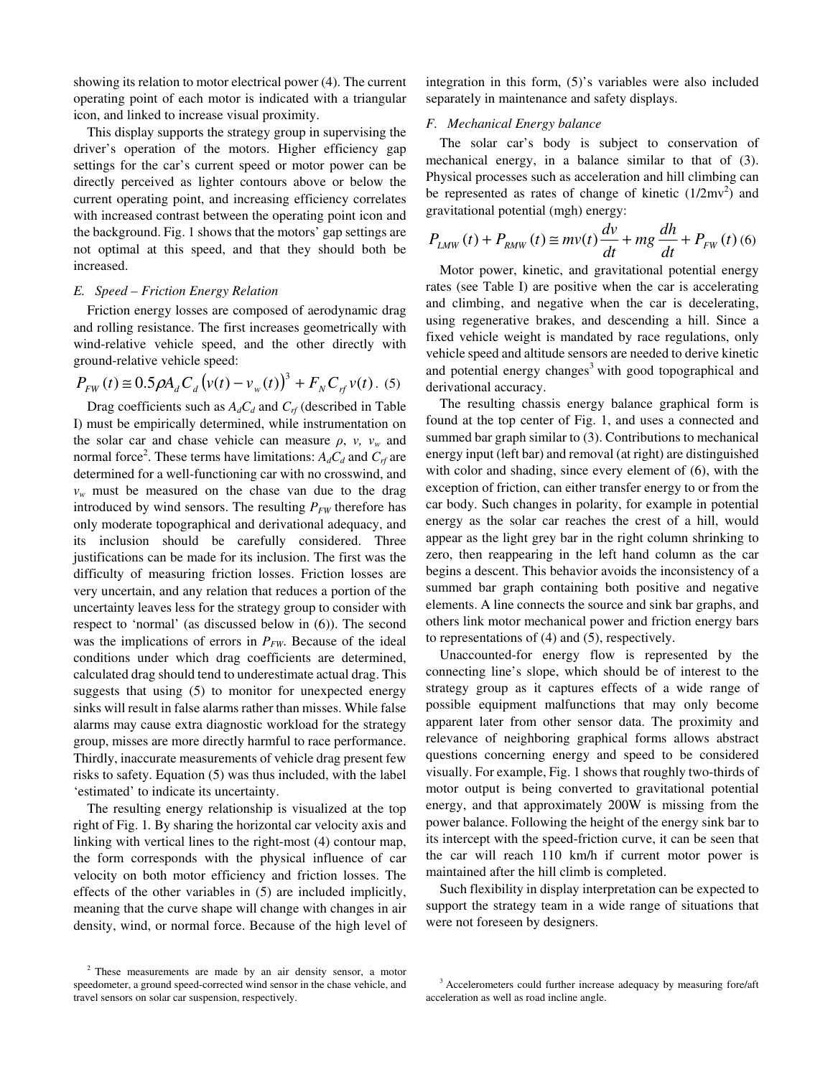showing its relation to motor electrical power (4). The current operating point of each motor is indicated with a triangular icon, and linked to increase visual proximity.

This display supports the strategy group in supervising the driver's operation of the motors. Higher efficiency gap settings for the car's current speed or motor power can be directly perceived as lighter contours above or below the current operating point, and increasing efficiency correlates with increased contrast between the operating point icon and the background. Fig. 1 shows that the motors' gap settings are not optimal at this speed, and that they should both be increased.

# *E. Speed – Friction Energy Relation*

Friction energy losses are composed of aerodynamic drag and rolling resistance. The first increases geometrically with wind-relative vehicle speed, and the other directly with ground-relative vehicle speed:

$$
P_{FW}(t) \approx 0.5 \rho A_d C_d (v(t) - v_w(t))^3 + F_N C_{rf} v(t)
$$
 (5)

Drag coefficients such as  $A_dC_d$  and  $C_f$  (described in Table I) must be empirically determined, while instrumentation on the solar car and chase vehicle can measure  $\rho$ ,  $v$ ,  $v_w$  and normal force<sup>2</sup>. These terms have limitations:  $A_dC_d$  and  $C_f$  are determined for a well-functioning car with no crosswind, and  $v_w$  must be measured on the chase van due to the drag introduced by wind sensors. The resulting  $P_{FW}$  therefore has only moderate topographical and derivational adequacy, and its inclusion should be carefully considered. Three justifications can be made for its inclusion. The first was the difficulty of measuring friction losses. Friction losses are very uncertain, and any relation that reduces a portion of the uncertainty leaves less for the strategy group to consider with respect to 'normal' (as discussed below in (6)). The second was the implications of errors in  $P_{FW}$ . Because of the ideal conditions under which drag coefficients are determined, calculated drag should tend to underestimate actual drag. This suggests that using (5) to monitor for unexpected energy sinks will result in false alarms rather than misses. While false alarms may cause extra diagnostic workload for the strategy group, misses are more directly harmful to race performance. Thirdly, inaccurate measurements of vehicle drag present few risks to safety. Equation (5) was thus included, with the label 'estimated' to indicate its uncertainty.

The resulting energy relationship is visualized at the top right of Fig. 1*.* By sharing the horizontal car velocity axis and linking with vertical lines to the right-most (4) contour map, the form corresponds with the physical influence of car velocity on both motor efficiency and friction losses. The effects of the other variables in (5) are included implicitly, meaning that the curve shape will change with changes in air density, wind, or normal force. Because of the high level of

integration in this form, (5)'s variables were also included separately in maintenance and safety displays.

# *F. Mechanical Energy balance*

The solar car's body is subject to conservation of mechanical energy, in a balance similar to that of (3). Physical processes such as acceleration and hill climbing can be represented as rates of change of kinetic  $(1/2mv^2)$  and gravitational potential (mgh) energy:

$$
P_{LMW}(t) + P_{RMW}(t) \cong mv(t)\frac{dv}{dt} + mg\frac{dh}{dt} + P_{FW}(t)
$$
 (6)

Motor power, kinetic, and gravitational potential energy rates (see Table I) are positive when the car is accelerating and climbing, and negative when the car is decelerating, using regenerative brakes, and descending a hill. Since a fixed vehicle weight is mandated by race regulations, only vehicle speed and altitude sensors are needed to derive kinetic and potential energy changes<sup>3</sup> with good topographical and derivational accuracy.

The resulting chassis energy balance graphical form is found at the top center of Fig. 1, and uses a connected and summed bar graph similar to (3). Contributions to mechanical energy input (left bar) and removal (at right) are distinguished with color and shading, since every element of (6), with the exception of friction, can either transfer energy to or from the car body. Such changes in polarity, for example in potential energy as the solar car reaches the crest of a hill, would appear as the light grey bar in the right column shrinking to zero, then reappearing in the left hand column as the car begins a descent. This behavior avoids the inconsistency of a summed bar graph containing both positive and negative elements. A line connects the source and sink bar graphs, and others link motor mechanical power and friction energy bars to representations of (4) and (5), respectively.

Unaccounted-for energy flow is represented by the connecting line's slope, which should be of interest to the strategy group as it captures effects of a wide range of possible equipment malfunctions that may only become apparent later from other sensor data. The proximity and relevance of neighboring graphical forms allows abstract questions concerning energy and speed to be considered visually. For example, Fig. 1 shows that roughly two-thirds of motor output is being converted to gravitational potential energy, and that approximately 200W is missing from the power balance. Following the height of the energy sink bar to its intercept with the speed-friction curve, it can be seen that the car will reach 110 km/h if current motor power is maintained after the hill climb is completed.

Such flexibility in display interpretation can be expected to support the strategy team in a wide range of situations that were not foreseen by designers.

<sup>&</sup>lt;sup>2</sup> These measurements are made by an air density sensor, a motor speedometer, a ground speed-corrected wind sensor in the chase vehicle, and travel sensors on solar car suspension, respectively.

 $3$  Accelerometers could further increase adequacy by measuring fore/aft acceleration as well as road incline angle.